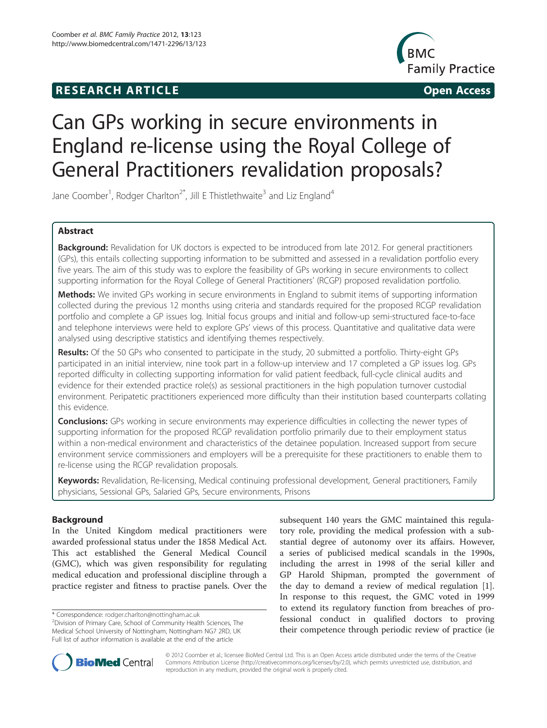## **RESEARCH ARTICLE Example 2018 12:00 Open Access**



# Can GPs working in secure environments in England re-license using the Royal College of General Practitioners revalidation proposals?

Jane Coomber<sup>1</sup>, Rodger Charlton<sup>2\*</sup>, Jill E Thistlethwaite<sup>3</sup> and Liz England<sup>4</sup>

## Abstract

Background: Revalidation for UK doctors is expected to be introduced from late 2012. For general practitioners (GPs), this entails collecting supporting information to be submitted and assessed in a revalidation portfolio every five years. The aim of this study was to explore the feasibility of GPs working in secure environments to collect supporting information for the Royal College of General Practitioners' (RCGP) proposed revalidation portfolio.

Methods: We invited GPs working in secure environments in England to submit items of supporting information collected during the previous 12 months using criteria and standards required for the proposed RCGP revalidation portfolio and complete a GP issues log. Initial focus groups and initial and follow-up semi-structured face-to-face and telephone interviews were held to explore GPs' views of this process. Quantitative and qualitative data were analysed using descriptive statistics and identifying themes respectively.

Results: Of the 50 GPs who consented to participate in the study, 20 submitted a portfolio. Thirty-eight GPs participated in an initial interview, nine took part in a follow-up interview and 17 completed a GP issues log. GPs reported difficulty in collecting supporting information for valid patient feedback, full-cycle clinical audits and evidence for their extended practice role(s) as sessional practitioners in the high population turnover custodial environment. Peripatetic practitioners experienced more difficulty than their institution based counterparts collating this evidence.

**Conclusions:** GPs working in secure environments may experience difficulties in collecting the newer types of supporting information for the proposed RCGP revalidation portfolio primarily due to their employment status within a non-medical environment and characteristics of the detainee population. Increased support from secure environment service commissioners and employers will be a prerequisite for these practitioners to enable them to re-license using the RCGP revalidation proposals.

Keywords: Revalidation, Re-licensing, Medical continuing professional development, General practitioners, Family physicians, Sessional GPs, Salaried GPs, Secure environments, Prisons

## Background

In the United Kingdom medical practitioners were awarded professional status under the 1858 Medical Act. This act established the General Medical Council (GMC), which was given responsibility for regulating medical education and professional discipline through a practice register and fitness to practise panels. Over the

subsequent 140 years the GMC maintained this regulatory role, providing the medical profession with a substantial degree of autonomy over its affairs. However, a series of publicised medical scandals in the 1990s, including the arrest in 1998 of the serial killer and GP Harold Shipman, prompted the government of the day to demand a review of medical regulation [\[1](#page-13-0)]. In response to this request, the GMC voted in 1999 to extend its regulatory function from breaches of professional conduct in qualified doctors to proving their competence through periodic review of practice (ie



© 2012 Coomber et al.; licensee BioMed Central Ltd. This is an Open Access article distributed under the terms of the Creative Commons Attribution License [\(http://creativecommons.org/licenses/by/2.0\)](http://creativecommons.org/licenses/by/2.0), which permits unrestricted use, distribution, and reproduction in any medium, provided the original work is properly cited.

<sup>\*</sup> Correspondence: [rodger.charlton@nottingham.ac.uk](mailto:rodger.charlton@nottingham.ac.uk) <sup>2</sup>

Division of Primary Care, School of Community Health Sciences, The Medical School University of Nottingham, Nottingham NG7 2RD, UK Full list of author information is available at the end of the article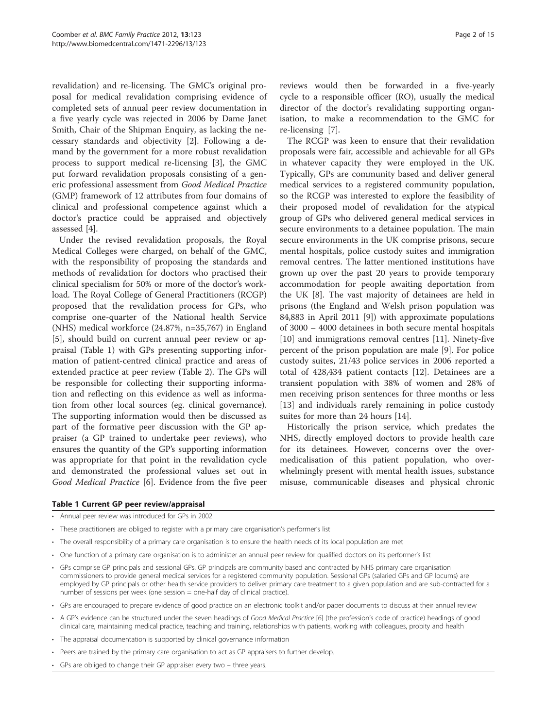revalidation) and re-licensing. The GMC's original proposal for medical revalidation comprising evidence of completed sets of annual peer review documentation in a five yearly cycle was rejected in 2006 by Dame Janet Smith, Chair of the Shipman Enquiry, as lacking the necessary standards and objectivity [\[2](#page-13-0)]. Following a demand by the government for a more robust revalidation process to support medical re-licensing [\[3](#page-13-0)], the GMC put forward revalidation proposals consisting of a generic professional assessment from Good Medical Practice (GMP) framework of 12 attributes from four domains of clinical and professional competence against which a doctor's practice could be appraised and objectively assessed [\[4](#page-13-0)].

Under the revised revalidation proposals, the Royal Medical Colleges were charged, on behalf of the GMC, with the responsibility of proposing the standards and methods of revalidation for doctors who practised their clinical specialism for 50% or more of the doctor's workload. The Royal College of General Practitioners (RCGP) proposed that the revalidation process for GPs, who comprise one-quarter of the National health Service (NHS) medical workforce (24.87%, n=35,767) in England [[5\]](#page-13-0), should build on current annual peer review or appraisal (Table 1) with GPs presenting supporting information of patient-centred clinical practice and areas of extended practice at peer review (Table [2](#page-2-0)). The GPs will be responsible for collecting their supporting information and reflecting on this evidence as well as information from other local sources (eg. clinical governance). The supporting information would then be discussed as part of the formative peer discussion with the GP appraiser (a GP trained to undertake peer reviews), who ensures the quantity of the GP's supporting information was appropriate for that point in the revalidation cycle and demonstrated the professional values set out in Good Medical Practice [\[6\]](#page-13-0). Evidence from the five peer reviews would then be forwarded in a five-yearly cycle to a responsible officer (RO), usually the medical director of the doctor's revalidating supporting organisation, to make a recommendation to the GMC for re-licensing [\[7](#page-13-0)].

The RCGP was keen to ensure that their revalidation proposals were fair, accessible and achievable for all GPs in whatever capacity they were employed in the UK. Typically, GPs are community based and deliver general medical services to a registered community population, so the RCGP was interested to explore the feasibility of their proposed model of revalidation for the atypical group of GPs who delivered general medical services in secure environments to a detainee population. The main secure environments in the UK comprise prisons, secure mental hospitals, police custody suites and immigration removal centres. The latter mentioned institutions have grown up over the past 20 years to provide temporary accommodation for people awaiting deportation from the UK [\[8](#page-13-0)]. The vast majority of detainees are held in prisons (the England and Welsh prison population was 84,883 in April 2011 [[9\]](#page-13-0)) with approximate populations of 3000 – 4000 detainees in both secure mental hospitals [[10\]](#page-13-0) and immigrations removal centres [\[11](#page-13-0)]. Ninety-five percent of the prison population are male [[9\]](#page-13-0). For police custody suites, 21/43 police services in 2006 reported a total of 428,434 patient contacts [\[12](#page-13-0)]. Detainees are a transient population with 38% of women and 28% of men receiving prison sentences for three months or less [[13\]](#page-13-0) and individuals rarely remaining in police custody suites for more than 24 hours [[14\]](#page-13-0).

Historically the prison service, which predates the NHS, directly employed doctors to provide health care for its detainees. However, concerns over the overmedicalisation of this patient population, who overwhelmingly present with mental health issues, substance misuse, communicable diseases and physical chronic

#### Table 1 Current GP peer review/appraisal

- Annual peer review was introduced for GPs in 2002
- These practitioners are obliged to register with a primary care organisation's performer's list
- The overall responsibility of a primary care organisation is to ensure the health needs of its local population are met
- One function of a primary care organisation is to administer an annual peer review for qualified doctors on its performer's list
- GPs comprise GP principals and sessional GPs. GP principals are community based and contracted by NHS primary care organisation commissioners to provide general medical services for a registered community population. Sessional GPs (salaried GPs and GP locums) are employed by GP principals or other health service providers to deliver primary care treatment to a given population and are sub-contracted for a number of sessions per week (one session = one-half day of clinical practice).
- GPs are encouraged to prepare evidence of good practice on an electronic toolkit and/or paper documents to discuss at their annual review
- A GP's evidence can be structured under the seven headings of Good Medical Practice [\[6](#page-13-0)] (the profession's code of practice) headings of good clinical care, maintaining medical practice, teaching and training, relationships with patients, working with colleagues, probity and health
- The appraisal documentation is supported by clinical governance information
- Peers are trained by the primary care organisation to act as GP appraisers to further develop.
- GPs are obliged to change their GP appraiser every two three years.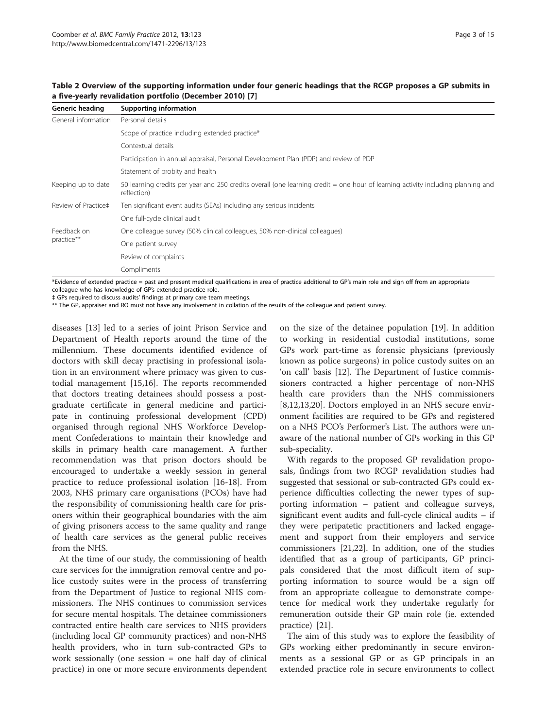| Generic heading           | Supporting information                                                                                                                          |
|---------------------------|-------------------------------------------------------------------------------------------------------------------------------------------------|
| General information       | Personal details                                                                                                                                |
|                           | Scope of practice including extended practice*                                                                                                  |
|                           | Contextual details                                                                                                                              |
|                           | Participation in annual appraisal, Personal Development Plan (PDP) and review of PDP                                                            |
|                           | Statement of probity and health                                                                                                                 |
| Keeping up to date        | 50 learning credits per year and 250 credits overall (one learning credit = one hour of learning activity including planning and<br>reflection) |
| Review of Practice‡       | Ten significant event audits (SEAs) including any serious incidents                                                                             |
|                           | One full-cycle clinical audit                                                                                                                   |
| Feedback on<br>practice** | One colleague survey (50% clinical colleagues, 50% non-clinical colleagues)                                                                     |
|                           | One patient survey                                                                                                                              |
|                           | Review of complaints                                                                                                                            |
|                           | Compliments                                                                                                                                     |

<span id="page-2-0"></span>Table 2 Overview of the supporting information under four generic headings that the RCGP proposes a GP submits in a five-yearly revalidation portfolio (December 2010) [\[7](#page-13-0)]

\*Evidence of extended practice = past and present medical qualifications in area of practice additional to GP's main role and sign off from an appropriate colleague who has knowledge of GP's extended practice role.

‡ GPs required to discuss audits' findings at primary care team meetings.

\*\* The GP, appraiser and RO must not have any involvement in collation of the results of the colleague and patient survey.

diseases [\[13](#page-13-0)] led to a series of joint Prison Service and Department of Health reports around the time of the millennium. These documents identified evidence of doctors with skill decay practising in professional isolation in an environment where primacy was given to custodial management [\[15](#page-13-0)[,16\]](#page-14-0). The reports recommended that doctors treating detainees should possess a postgraduate certificate in general medicine and participate in continuing professional development (CPD) organised through regional NHS Workforce Development Confederations to maintain their knowledge and skills in primary health care management. A further recommendation was that prison doctors should be encouraged to undertake a weekly session in general practice to reduce professional isolation [\[16-18](#page-14-0)]. From 2003, NHS primary care organisations (PCOs) have had the responsibility of commissioning health care for prisoners within their geographical boundaries with the aim of giving prisoners access to the same quality and range of health care services as the general public receives from the NHS.

At the time of our study, the commissioning of health care services for the immigration removal centre and police custody suites were in the process of transferring from the Department of Justice to regional NHS commissioners. The NHS continues to commission services for secure mental hospitals. The detainee commissioners contracted entire health care services to NHS providers (including local GP community practices) and non-NHS health providers, who in turn sub-contracted GPs to work sessionally (one session = one half day of clinical practice) in one or more secure environments dependent on the size of the detainee population [\[19\]](#page-14-0). In addition to working in residential custodial institutions, some GPs work part-time as forensic physicians (previously known as police surgeons) in police custody suites on an 'on call' basis [[12\]](#page-13-0). The Department of Justice commissioners contracted a higher percentage of non-NHS health care providers than the NHS commissioners [[8,12,13,](#page-13-0)[20\]](#page-14-0). Doctors employed in an NHS secure environment facilities are required to be GPs and registered on a NHS PCO's Performer's List. The authors were unaware of the national number of GPs working in this GP sub-speciality.

With regards to the proposed GP revalidation proposals, findings from two RCGP revalidation studies had suggested that sessional or sub-contracted GPs could experience difficulties collecting the newer types of supporting information – patient and colleague surveys, significant event audits and full-cycle clinical audits – if they were peripatetic practitioners and lacked engagement and support from their employers and service commissioners [[21,22](#page-14-0)]. In addition, one of the studies identified that as a group of participants, GP principals considered that the most difficult item of supporting information to source would be a sign off from an appropriate colleague to demonstrate competence for medical work they undertake regularly for remuneration outside their GP main role (ie. extended practice) [[21\]](#page-14-0).

The aim of this study was to explore the feasibility of GPs working either predominantly in secure environments as a sessional GP or as GP principals in an extended practice role in secure environments to collect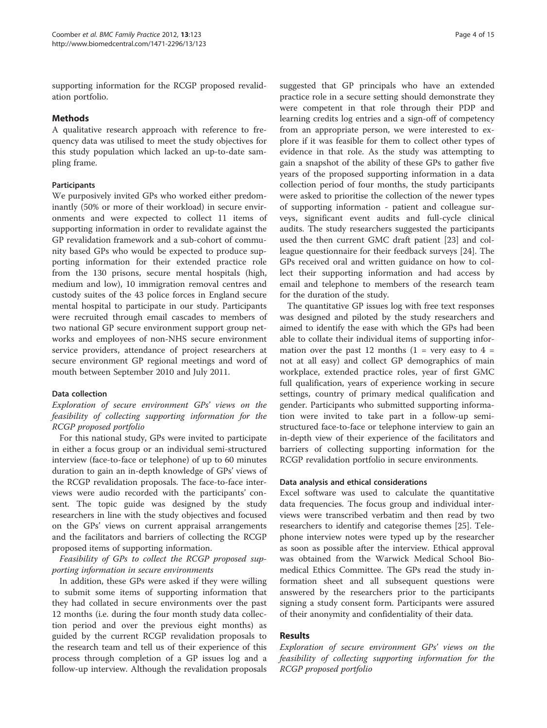supporting information for the RCGP proposed revalidation portfolio.

#### Methods

A qualitative research approach with reference to frequency data was utilised to meet the study objectives for this study population which lacked an up-to-date sampling frame.

#### Participants

We purposively invited GPs who worked either predominantly (50% or more of their workload) in secure environments and were expected to collect 11 items of supporting information in order to revalidate against the GP revalidation framework and a sub-cohort of community based GPs who would be expected to produce supporting information for their extended practice role from the 130 prisons, secure mental hospitals (high, medium and low), 10 immigration removal centres and custody suites of the 43 police forces in England secure mental hospital to participate in our study. Participants were recruited through email cascades to members of two national GP secure environment support group networks and employees of non-NHS secure environment service providers, attendance of project researchers at secure environment GP regional meetings and word of mouth between September 2010 and July 2011.

#### Data collection

Exploration of secure environment GPs' views on the feasibility of collecting supporting information for the RCGP proposed portfolio

For this national study, GPs were invited to participate in either a focus group or an individual semi-structured interview (face-to-face or telephone) of up to 60 minutes duration to gain an in-depth knowledge of GPs' views of the RCGP revalidation proposals. The face-to-face interviews were audio recorded with the participants' consent. The topic guide was designed by the study researchers in line with the study objectives and focused on the GPs' views on current appraisal arrangements and the facilitators and barriers of collecting the RCGP proposed items of supporting information.

Feasibility of GPs to collect the RCGP proposed supporting information in secure environments

In addition, these GPs were asked if they were willing to submit some items of supporting information that they had collated in secure environments over the past 12 months (i.e. during the four month study data collection period and over the previous eight months) as guided by the current RCGP revalidation proposals to the research team and tell us of their experience of this process through completion of a GP issues log and a follow-up interview. Although the revalidation proposals

suggested that GP principals who have an extended practice role in a secure setting should demonstrate they were competent in that role through their PDP and learning credits log entries and a sign-off of competency from an appropriate person, we were interested to explore if it was feasible for them to collect other types of evidence in that role. As the study was attempting to gain a snapshot of the ability of these GPs to gather five years of the proposed supporting information in a data collection period of four months, the study participants were asked to prioritise the collection of the newer types of supporting information - patient and colleague surveys, significant event audits and full-cycle clinical audits. The study researchers suggested the participants used the then current GMC draft patient [[23\]](#page-14-0) and colleague questionnaire for their feedback surveys [\[24](#page-14-0)]. The GPs received oral and written guidance on how to collect their supporting information and had access by email and telephone to members of the research team for the duration of the study.

The quantitative GP issues log with free text responses was designed and piloted by the study researchers and aimed to identify the ease with which the GPs had been able to collate their individual items of supporting information over the past 12 months (1 = very easy to 4 = not at all easy) and collect GP demographics of main workplace, extended practice roles, year of first GMC full qualification, years of experience working in secure settings, country of primary medical qualification and gender. Participants who submitted supporting information were invited to take part in a follow-up semistructured face-to-face or telephone interview to gain an in-depth view of their experience of the facilitators and barriers of collecting supporting information for the RCGP revalidation portfolio in secure environments.

#### Data analysis and ethical considerations

Excel software was used to calculate the quantitative data frequencies. The focus group and individual interviews were transcribed verbatim and then read by two researchers to identify and categorise themes [[25](#page-14-0)]. Telephone interview notes were typed up by the researcher as soon as possible after the interview. Ethical approval was obtained from the Warwick Medical School Biomedical Ethics Committee. The GPs read the study information sheet and all subsequent questions were answered by the researchers prior to the participants signing a study consent form. Participants were assured of their anonymity and confidentiality of their data.

#### Results

Exploration of secure environment GPs' views on the feasibility of collecting supporting information for the RCGP proposed portfolio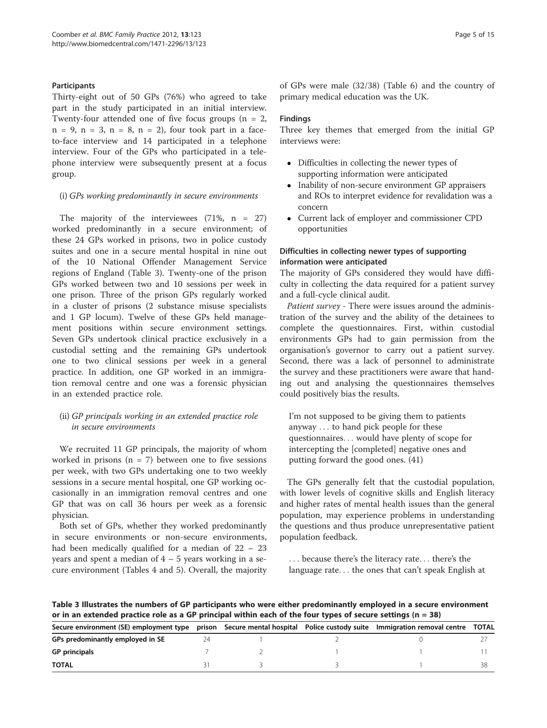#### Participants

Thirty-eight out of 50 GPs (76%) who agreed to take part in the study participated in an initial interview. Twenty-four attended one of five focus groups ( $n = 2$ ,  $n = 9$ ,  $n = 3$ ,  $n = 8$ ,  $n = 2$ ), four took part in a faceto-face interview and 14 participated in a telephone interview. Four of the GPs who participated in a telephone interview were subsequently present at a focus group.

#### (i) GPs working predominantly in secure environments

The majority of the interviewees  $(71\% , n = 27)$ worked predominantly in a secure environment; of these 24 GPs worked in prisons, two in police custody suites and one in a secure mental hospital in nine out of the 10 National Offender Management Service regions of England (Table 3). Twenty-one of the prison GPs worked between two and 10 sessions per week in one prison. Three of the prison GPs regularly worked in a cluster of prisons (2 substance misuse specialists and 1 GP locum). Twelve of these GPs held management positions within secure environment settings. Seven GPs undertook clinical practice exclusively in a custodial setting and the remaining GPs undertook one to two clinical sessions per week in a general practice. In addition, one GP worked in an immigration removal centre and one was a forensic physician in an extended practice role.

#### (ii) GP principals working in an extended practice role in secure environments

We recruited 11 GP principals, the majority of whom worked in prisons ( $n = 7$ ) between one to five sessions per week, with two GPs undertaking one to two weekly sessions in a secure mental hospital, one GP working occasionally in an immigration removal centres and one GP that was on call 36 hours per week as a forensic physician.

Both set of GPs, whether they worked predominantly in secure environments or non-secure environments, had been medically qualified for a median of 22 – 23 years and spent a median of  $4 - 5$  years working in a secure environment (Tables [4](#page-5-0) and [5\)](#page-5-0). Overall, the majority of GPs were male (32/38) (Table [6\)](#page-6-0) and the country of primary medical education was the UK.

#### Findings

Three key themes that emerged from the initial GP interviews were:

- Difficulties in collecting the newer types of supporting information were anticipated
- Inability of non-secure environment GP appraisers and ROs to interpret evidence for revalidation was a concern
- Current lack of employer and commissioner CPD opportunities

#### Difficulties in collecting newer types of supporting information were anticipated

The majority of GPs considered they would have difficulty in collecting the data required for a patient survey and a full-cycle clinical audit.

Patient survey - There were issues around the administration of the survey and the ability of the detainees to complete the questionnaires. First, within custodial environments GPs had to gain permission from the organisation's governor to carry out a patient survey. Second, there was a lack of personnel to administrate the survey and these practitioners were aware that handing out and analysing the questionnaires themselves could positively bias the results.

I'm not supposed to be giving them to patients anyway ... to hand pick people for these questionnaires... would have plenty of scope for intercepting the [completed] negative ones and putting forward the good ones. (41)

The GPs generally felt that the custodial population, with lower levels of cognitive skills and English literacy and higher rates of mental health issues than the general population, may experience problems in understanding the questions and thus produce unrepresentative patient population feedback.

... because there's the literacy rate... there's the language rate... the ones that can't speak English at

Table 3 Illustrates the numbers of GP participants who were either predominantly employed in a secure environment or in an extended practice role as a GP principal within each of the four types of secure settings ( $n = 38$ )

| Secure environment (SE) employment type prison Secure mental hospital Police custody suite Immigration removal centre |  |  | TOTAL |
|-----------------------------------------------------------------------------------------------------------------------|--|--|-------|
| GPs predominantly employed in SE                                                                                      |  |  |       |
| GP principals                                                                                                         |  |  |       |
| <b>TOTAL</b>                                                                                                          |  |  |       |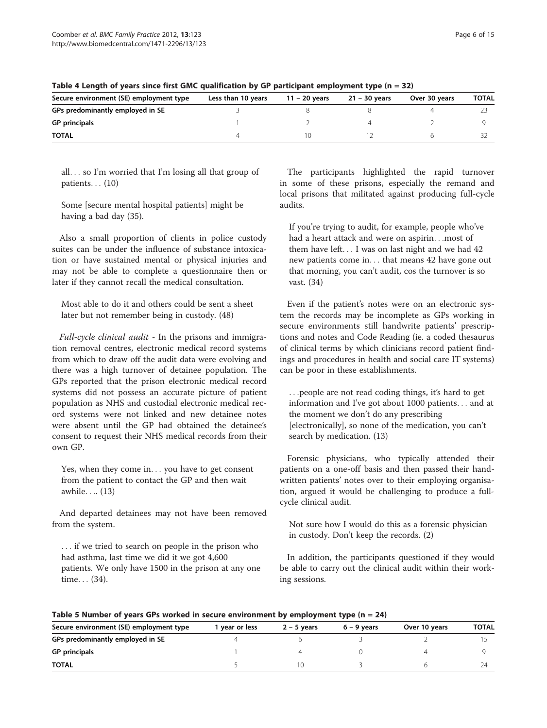| Secure environment (SE) employment type | Less than 10 years | $11 - 20$ years | $21 - 30$ years | Over 30 years | TOTAL |
|-----------------------------------------|--------------------|-----------------|-----------------|---------------|-------|
| GPs predominantly employed in SE        |                    |                 |                 |               |       |
| <b>GP</b> principals                    |                    |                 |                 |               |       |
| <b>TOTAL</b>                            |                    |                 |                 |               |       |

<span id="page-5-0"></span>Table 4 Length of years since first GMC qualification by GP participant employment type  $(n = 32)$ 

all... so I'm worried that I'm losing all that group of patients... (10)

Some [secure mental hospital patients] might be having a bad day (35).

Also a small proportion of clients in police custody suites can be under the influence of substance intoxication or have sustained mental or physical injuries and may not be able to complete a questionnaire then or later if they cannot recall the medical consultation.

Most able to do it and others could be sent a sheet later but not remember being in custody. (48)

Full-cycle clinical audit - In the prisons and immigration removal centres, electronic medical record systems from which to draw off the audit data were evolving and there was a high turnover of detainee population. The GPs reported that the prison electronic medical record systems did not possess an accurate picture of patient population as NHS and custodial electronic medical record systems were not linked and new detainee notes were absent until the GP had obtained the detainee's consent to request their NHS medical records from their own GP.

Yes, when they come in... you have to get consent from the patient to contact the GP and then wait awhile.... (13)

And departed detainees may not have been removed from the system.

... if we tried to search on people in the prison who had asthma, last time we did it we got 4,600 patients. We only have 1500 in the prison at any one time... (34).

The participants highlighted the rapid turnover in some of these prisons, especially the remand and local prisons that militated against producing full-cycle audits.

If you're trying to audit, for example, people who've had a heart attack and were on aspirin...most of them have left... I was on last night and we had 42 new patients come in... that means 42 have gone out that morning, you can't audit, cos the turnover is so vast. (34)

Even if the patient's notes were on an electronic system the records may be incomplete as GPs working in secure environments still handwrite patients' prescriptions and notes and Code Reading (ie. a coded thesaurus of clinical terms by which clinicians record patient findings and procedures in health and social care IT systems) can be poor in these establishments.

...people are not read coding things, it's hard to get information and I've got about 1000 patients... and at the moment we don't do any prescribing [electronically], so none of the medication, you can't search by medication. (13)

Forensic physicians, who typically attended their patients on a one-off basis and then passed their handwritten patients' notes over to their employing organisation, argued it would be challenging to produce a fullcycle clinical audit.

Not sure how I would do this as a forensic physician in custody. Don't keep the records. (2)

In addition, the participants questioned if they would be able to carry out the clinical audit within their working sessions.

| Secure environment (SE) employment type | year or less | $2 - 5$ vears | $6 - 9$ vears | Over 10 years | <b>TOTAL</b> |
|-----------------------------------------|--------------|---------------|---------------|---------------|--------------|
| GPs predominantly employed in SE        |              |               |               |               |              |
| <b>GP</b> principals                    |              |               |               |               |              |
| ΤΟΤΑL                                   |              |               |               |               |              |

Table 5 Number of years GPs worked in secure environment by employment type  $(n = 24)$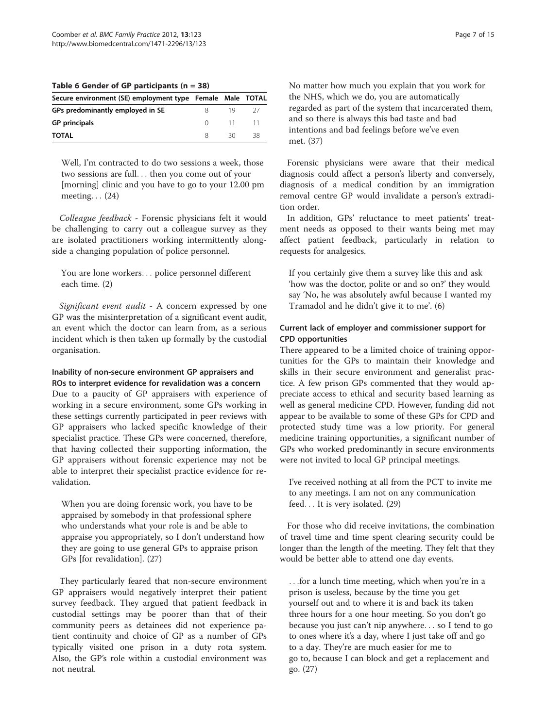<span id="page-6-0"></span>Table 6 Gender of GP participants ( $n = 38$ )

| Secure environment (SE) employment type Female Male TOTAL |   |         |                 |
|-----------------------------------------------------------|---|---------|-----------------|
| GPs predominantly employed in SE                          |   | 19.     | $\overline{27}$ |
| <b>GP</b> principals                                      |   | 0 11 11 |                 |
| <b>TOTAL</b>                                              | 8 | - 30    | 38              |

Well, I'm contracted to do two sessions a week, those two sessions are full... then you come out of your [morning] clinic and you have to go to your 12.00 pm meeting... (24)

Colleague feedback - Forensic physicians felt it would be challenging to carry out a colleague survey as they are isolated practitioners working intermittently alongside a changing population of police personnel.

You are lone workers... police personnel different each time. (2)

Significant event audit - A concern expressed by one GP was the misinterpretation of a significant event audit, an event which the doctor can learn from, as a serious incident which is then taken up formally by the custodial organisation.

#### Inability of non-secure environment GP appraisers and ROs to interpret evidence for revalidation was a concern

Due to a paucity of GP appraisers with experience of working in a secure environment, some GPs working in these settings currently participated in peer reviews with GP appraisers who lacked specific knowledge of their specialist practice. These GPs were concerned, therefore, that having collected their supporting information, the GP appraisers without forensic experience may not be able to interpret their specialist practice evidence for revalidation.

When you are doing forensic work, you have to be appraised by somebody in that professional sphere who understands what your role is and be able to appraise you appropriately, so I don't understand how they are going to use general GPs to appraise prison GPs [for revalidation]. (27)

They particularly feared that non-secure environment GP appraisers would negatively interpret their patient survey feedback. They argued that patient feedback in custodial settings may be poorer than that of their community peers as detainees did not experience patient continuity and choice of GP as a number of GPs typically visited one prison in a duty rota system. Also, the GP's role within a custodial environment was not neutral.

No matter how much you explain that you work for the NHS, which we do, you are automatically regarded as part of the system that incarcerated them, and so there is always this bad taste and bad intentions and bad feelings before we've even met. (37)

Forensic physicians were aware that their medical diagnosis could affect a person's liberty and conversely, diagnosis of a medical condition by an immigration removal centre GP would invalidate a person's extradition order.

In addition, GPs' reluctance to meet patients' treatment needs as opposed to their wants being met may affect patient feedback, particularly in relation to requests for analgesics.

If you certainly give them a survey like this and ask 'how was the doctor, polite or and so on?' they would say 'No, he was absolutely awful because I wanted my Tramadol and he didn't give it to me'. (6)

## Current lack of employer and commissioner support for CPD opportunities

There appeared to be a limited choice of training opportunities for the GPs to maintain their knowledge and skills in their secure environment and generalist practice. A few prison GPs commented that they would appreciate access to ethical and security based learning as well as general medicine CPD. However, funding did not appear to be available to some of these GPs for CPD and protected study time was a low priority. For general medicine training opportunities, a significant number of GPs who worked predominantly in secure environments were not invited to local GP principal meetings.

I've received nothing at all from the PCT to invite me to any meetings. I am not on any communication feed... It is very isolated. (29)

For those who did receive invitations, the combination of travel time and time spent clearing security could be longer than the length of the meeting. They felt that they would be better able to attend one day events.

...for a lunch time meeting, which when you're in a prison is useless, because by the time you get yourself out and to where it is and back its taken three hours for a one hour meeting. So you don't go because you just can't nip anywhere... so I tend to go to ones where it's a day, where I just take off and go to a day. They're are much easier for me to go to, because I can block and get a replacement and go. (27)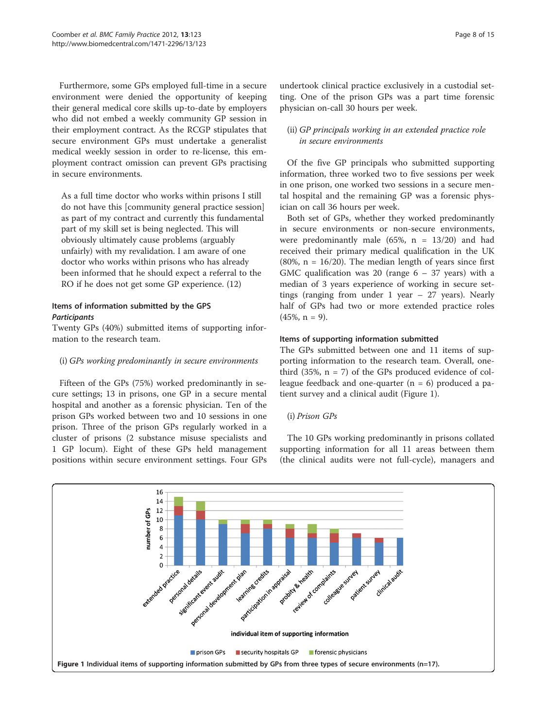Furthermore, some GPs employed full-time in a secure environment were denied the opportunity of keeping their general medical core skills up-to-date by employers who did not embed a weekly community GP session in their employment contract. As the RCGP stipulates that secure environment GPs must undertake a generalist medical weekly session in order to re-license, this employment contract omission can prevent GPs practising in secure environments.

As a full time doctor who works within prisons I still do not have this [community general practice session] as part of my contract and currently this fundamental part of my skill set is being neglected. This will obviously ultimately cause problems (arguably unfairly) with my revalidation. I am aware of one doctor who works within prisons who has already been informed that he should expect a referral to the RO if he does not get some GP experience. (12)

## Items of information submitted by the GPS **Participants**

Twenty GPs (40%) submitted items of supporting information to the research team.

#### (i) GPs working predominantly in secure environments

Fifteen of the GPs (75%) worked predominantly in secure settings; 13 in prisons, one GP in a secure mental hospital and another as a forensic physician. Ten of the prison GPs worked between two and 10 sessions in one prison. Three of the prison GPs regularly worked in a cluster of prisons (2 substance misuse specialists and 1 GP locum). Eight of these GPs held management positions within secure environment settings. Four GPs undertook clinical practice exclusively in a custodial setting. One of the prison GPs was a part time forensic physician on-call 30 hours per week.

## (ii) GP principals working in an extended practice role in secure environments

Of the five GP principals who submitted supporting information, three worked two to five sessions per week in one prison, one worked two sessions in a secure mental hospital and the remaining GP was a forensic physician on call 36 hours per week.

Both set of GPs, whether they worked predominantly in secure environments or non-secure environments, were predominantly male  $(65\% , n = 13/20)$  and had received their primary medical qualification in the UK (80%,  $n = 16/20$ ). The median length of years since first GMC qualification was 20 (range  $6 - 37$  years) with a median of 3 years experience of working in secure settings (ranging from under 1 year – 27 years). Nearly half of GPs had two or more extended practice roles  $(45\%, n = 9)$ .

#### Items of supporting information submitted

The GPs submitted between one and 11 items of supporting information to the research team. Overall, onethird  $(35\%, n = 7)$  of the GPs produced evidence of colleague feedback and one-quarter  $(n = 6)$  produced a patient survey and a clinical audit (Figure 1).

## (i) Prison GPs

The 10 GPs working predominantly in prisons collated supporting information for all 11 areas between them (the clinical audits were not full-cycle), managers and

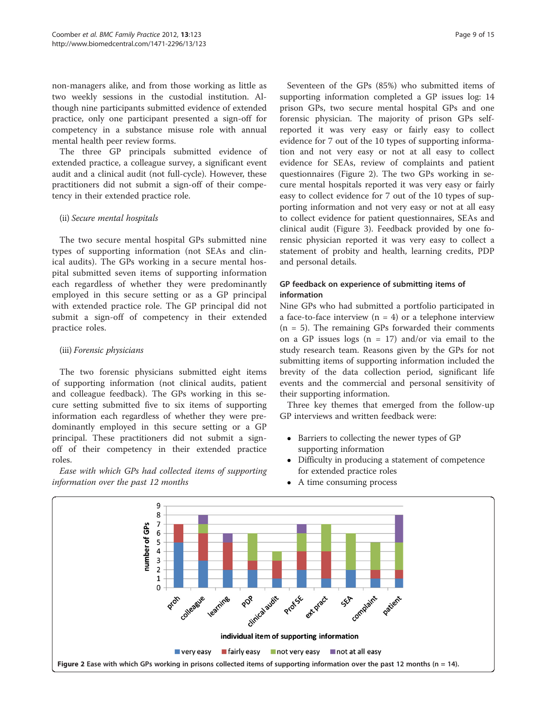non-managers alike, and from those working as little as two weekly sessions in the custodial institution. Although nine participants submitted evidence of extended practice, only one participant presented a sign-off for competency in a substance misuse role with annual mental health peer review forms.

The three GP principals submitted evidence of extended practice, a colleague survey, a significant event audit and a clinical audit (not full-cycle). However, these practitioners did not submit a sign-off of their competency in their extended practice role.

#### (ii) Secure mental hospitals

The two secure mental hospital GPs submitted nine types of supporting information (not SEAs and clinical audits). The GPs working in a secure mental hospital submitted seven items of supporting information each regardless of whether they were predominantly employed in this secure setting or as a GP principal with extended practice role. The GP principal did not submit a sign-off of competency in their extended practice roles.

#### (iii) Forensic physicians

The two forensic physicians submitted eight items of supporting information (not clinical audits, patient and colleague feedback). The GPs working in this secure setting submitted five to six items of supporting information each regardless of whether they were predominantly employed in this secure setting or a GP principal. These practitioners did not submit a signoff of their competency in their extended practice roles.

Ease with which GPs had collected items of supporting information over the past 12 months

Seventeen of the GPs (85%) who submitted items of supporting information completed a GP issues log: 14 prison GPs, two secure mental hospital GPs and one forensic physician. The majority of prison GPs selfreported it was very easy or fairly easy to collect evidence for 7 out of the 10 types of supporting information and not very easy or not at all easy to collect evidence for SEAs, review of complaints and patient questionnaires (Figure 2). The two GPs working in secure mental hospitals reported it was very easy or fairly easy to collect evidence for 7 out of the 10 types of supporting information and not very easy or not at all easy to collect evidence for patient questionnaires, SEAs and clinical audit (Figure [3](#page-9-0)). Feedback provided by one forensic physician reported it was very easy to collect a statement of probity and health, learning credits, PDP and personal details.

#### GP feedback on experience of submitting items of information

Nine GPs who had submitted a portfolio participated in a face-to-face interview  $(n = 4)$  or a telephone interview  $(n = 5)$ . The remaining GPs forwarded their comments on a GP issues logs  $(n = 17)$  and/or via email to the study research team. Reasons given by the GPs for not submitting items of supporting information included the brevity of the data collection period, significant life events and the commercial and personal sensitivity of their supporting information.

Three key themes that emerged from the follow-up GP interviews and written feedback were:

- Barriers to collecting the newer types of GP supporting information
- Difficulty in producing a statement of competence for extended practice roles
- $\overline{9}$ 8  $\overline{7}$ number of GPs 6 5  $\overline{4}$  $\overline{\mathbf{3}}$  $\overline{2}$  $\mathbf{1}$  $\mathbf 0$ climical audit Complaint Profess Colleague learning Prox PDP ext pract SEP **Patient** individual item of supporting information  $\blacksquare$  very easy **■ fairly easy** not very easy  $\blacksquare$  not at all easy Figure 2 Ease with which GPs working in prisons collected items of supporting information over the past 12 months ( $n = 14$ ).
- A time consuming process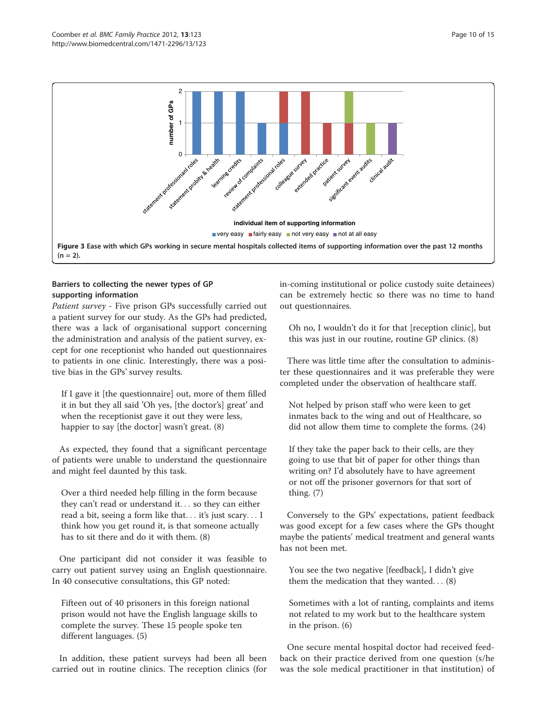<span id="page-9-0"></span>

## Barriers to collecting the newer types of GP supporting information

Patient survey - Five prison GPs successfully carried out a patient survey for our study. As the GPs had predicted, there was a lack of organisational support concerning the administration and analysis of the patient survey, except for one receptionist who handed out questionnaires to patients in one clinic. Interestingly, there was a positive bias in the GPs' survey results.

If I gave it [the questionnaire] out, more of them filled it in but they all said 'Oh yes, [the doctor's] great' and when the receptionist gave it out they were less, happier to say [the doctor] wasn't great. (8)

As expected, they found that a significant percentage of patients were unable to understand the questionnaire and might feel daunted by this task.

Over a third needed help filling in the form because they can't read or understand it... so they can either read a bit, seeing a form like that... it's just scary... I think how you get round it, is that someone actually has to sit there and do it with them. (8)

One participant did not consider it was feasible to carry out patient survey using an English questionnaire. In 40 consecutive consultations, this GP noted:

Fifteen out of 40 prisoners in this foreign national prison would not have the English language skills to complete the survey. These 15 people spoke ten different languages. (5)

In addition, these patient surveys had been all been carried out in routine clinics. The reception clinics (for in-coming institutional or police custody suite detainees) can be extremely hectic so there was no time to hand out questionnaires.

Oh no, I wouldn't do it for that [reception clinic], but this was just in our routine, routine GP clinics. (8)

There was little time after the consultation to administer these questionnaires and it was preferable they were completed under the observation of healthcare staff.

Not helped by prison staff who were keen to get inmates back to the wing and out of Healthcare, so did not allow them time to complete the forms. (24)

If they take the paper back to their cells, are they going to use that bit of paper for other things than writing on? I'd absolutely have to have agreement or not off the prisoner governors for that sort of thing. (7)

Conversely to the GPs' expectations, patient feedback was good except for a few cases where the GPs thought maybe the patients' medical treatment and general wants has not been met.

You see the two negative [feedback], I didn't give them the medication that they wanted... (8)

Sometimes with a lot of ranting, complaints and items not related to my work but to the healthcare system in the prison. (6)

One secure mental hospital doctor had received feedback on their practice derived from one question (s/he was the sole medical practitioner in that institution) of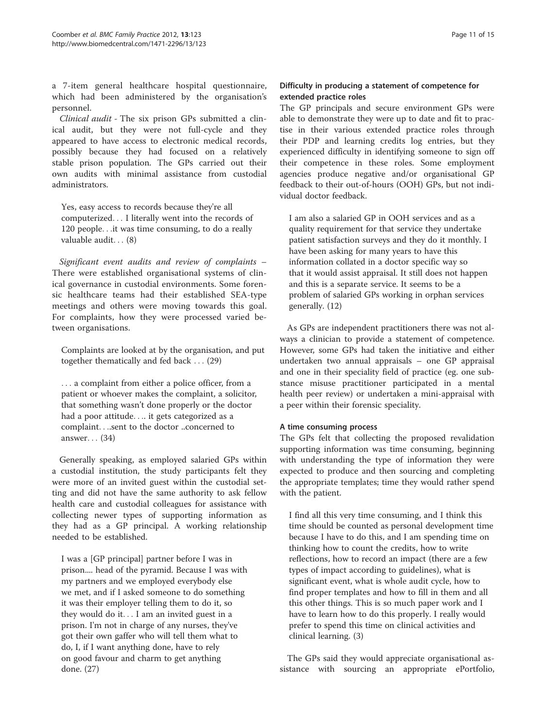a 7-item general healthcare hospital questionnaire, which had been administered by the organisation's personnel.

Clinical audit - The six prison GPs submitted a clinical audit, but they were not full-cycle and they appeared to have access to electronic medical records, possibly because they had focused on a relatively stable prison population. The GPs carried out their own audits with minimal assistance from custodial administrators.

Yes, easy access to records because they're all computerized... I literally went into the records of 120 people...it was time consuming, to do a really valuable audit... (8)

Significant event audits and review of complaints – There were established organisational systems of clinical governance in custodial environments. Some forensic healthcare teams had their established SEA-type meetings and others were moving towards this goal. For complaints, how they were processed varied between organisations.

Complaints are looked at by the organisation, and put together thematically and fed back ... (29)

... a complaint from either a police officer, from a patient or whoever makes the complaint, a solicitor, that something wasn't done properly or the doctor had a poor attitude.... it gets categorized as a complaint....sent to the doctor ..concerned to answer... (34)

Generally speaking, as employed salaried GPs within a custodial institution, the study participants felt they were more of an invited guest within the custodial setting and did not have the same authority to ask fellow health care and custodial colleagues for assistance with collecting newer types of supporting information as they had as a GP principal. A working relationship needed to be established.

I was a [GP principal] partner before I was in prison.... head of the pyramid. Because I was with my partners and we employed everybody else we met, and if I asked someone to do something it was their employer telling them to do it, so they would do it... I am an invited guest in a prison. I'm not in charge of any nurses, they've got their own gaffer who will tell them what to do, I, if I want anything done, have to rely on good favour and charm to get anything done. (27)

### Difficulty in producing a statement of competence for extended practice roles

The GP principals and secure environment GPs were able to demonstrate they were up to date and fit to practise in their various extended practice roles through their PDP and learning credits log entries, but they experienced difficulty in identifying someone to sign off their competence in these roles. Some employment agencies produce negative and/or organisational GP feedback to their out-of-hours (OOH) GPs, but not individual doctor feedback.

I am also a salaried GP in OOH services and as a quality requirement for that service they undertake patient satisfaction surveys and they do it monthly. I have been asking for many years to have this information collated in a doctor specific way so that it would assist appraisal. It still does not happen and this is a separate service. It seems to be a problem of salaried GPs working in orphan services generally. (12)

As GPs are independent practitioners there was not always a clinician to provide a statement of competence. However, some GPs had taken the initiative and either undertaken two annual appraisals – one GP appraisal and one in their speciality field of practice (eg. one substance misuse practitioner participated in a mental health peer review) or undertaken a mini-appraisal with a peer within their forensic speciality.

#### A time consuming process

The GPs felt that collecting the proposed revalidation supporting information was time consuming, beginning with understanding the type of information they were expected to produce and then sourcing and completing the appropriate templates; time they would rather spend with the patient.

I find all this very time consuming, and I think this time should be counted as personal development time because I have to do this, and I am spending time on thinking how to count the credits, how to write reflections, how to record an impact (there are a few types of impact according to guidelines), what is significant event, what is whole audit cycle, how to find proper templates and how to fill in them and all this other things. This is so much paper work and I have to learn how to do this properly. I really would prefer to spend this time on clinical activities and clinical learning. (3)

The GPs said they would appreciate organisational assistance with sourcing an appropriate ePortfolio,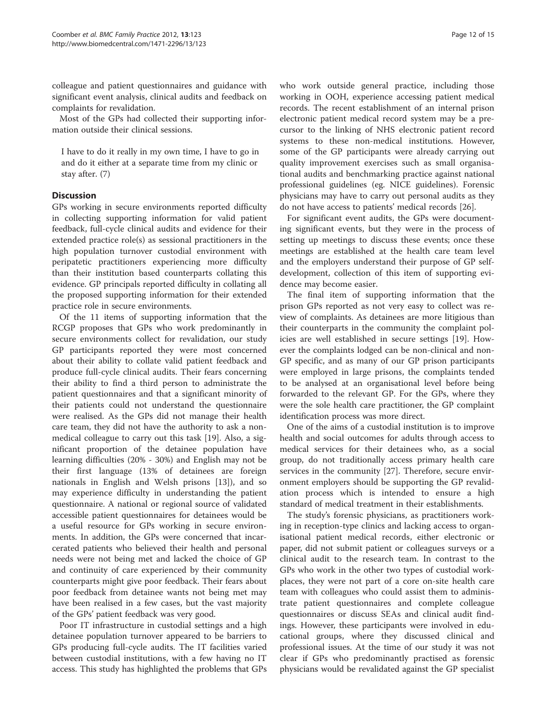colleague and patient questionnaires and guidance with significant event analysis, clinical audits and feedback on complaints for revalidation.

Most of the GPs had collected their supporting information outside their clinical sessions.

I have to do it really in my own time, I have to go in and do it either at a separate time from my clinic or stay after. (7)

#### **Discussion**

GPs working in secure environments reported difficulty in collecting supporting information for valid patient feedback, full-cycle clinical audits and evidence for their extended practice role(s) as sessional practitioners in the high population turnover custodial environment with peripatetic practitioners experiencing more difficulty than their institution based counterparts collating this evidence. GP principals reported difficulty in collating all the proposed supporting information for their extended practice role in secure environments.

Of the 11 items of supporting information that the RCGP proposes that GPs who work predominantly in secure environments collect for revalidation, our study GP participants reported they were most concerned about their ability to collate valid patient feedback and produce full-cycle clinical audits. Their fears concerning their ability to find a third person to administrate the patient questionnaires and that a significant minority of their patients could not understand the questionnaire were realised. As the GPs did not manage their health care team, they did not have the authority to ask a nonmedical colleague to carry out this task [[19\]](#page-14-0). Also, a significant proportion of the detainee population have learning difficulties (20% - 30%) and English may not be their first language (13% of detainees are foreign nationals in English and Welsh prisons [\[13](#page-13-0)]), and so may experience difficulty in understanding the patient questionnaire. A national or regional source of validated accessible patient questionnaires for detainees would be a useful resource for GPs working in secure environments. In addition, the GPs were concerned that incarcerated patients who believed their health and personal needs were not being met and lacked the choice of GP and continuity of care experienced by their community counterparts might give poor feedback. Their fears about poor feedback from detainee wants not being met may have been realised in a few cases, but the vast majority of the GPs' patient feedback was very good.

Poor IT infrastructure in custodial settings and a high detainee population turnover appeared to be barriers to GPs producing full-cycle audits. The IT facilities varied between custodial institutions, with a few having no IT access. This study has highlighted the problems that GPs

who work outside general practice, including those working in OOH, experience accessing patient medical records. The recent establishment of an internal prison electronic patient medical record system may be a precursor to the linking of NHS electronic patient record systems to these non-medical institutions. However, some of the GP participants were already carrying out quality improvement exercises such as small organisational audits and benchmarking practice against national professional guidelines (eg. NICE guidelines). Forensic physicians may have to carry out personal audits as they do not have access to patients' medical records [[26](#page-14-0)].

For significant event audits, the GPs were documenting significant events, but they were in the process of setting up meetings to discuss these events; once these meetings are established at the health care team level and the employers understand their purpose of GP selfdevelopment, collection of this item of supporting evidence may become easier.

The final item of supporting information that the prison GPs reported as not very easy to collect was review of complaints. As detainees are more litigious than their counterparts in the community the complaint policies are well established in secure settings [[19\]](#page-14-0). However the complaints lodged can be non-clinical and non-GP specific, and as many of our GP prison participants were employed in large prisons, the complaints tended to be analysed at an organisational level before being forwarded to the relevant GP. For the GPs, where they were the sole health care practitioner, the GP complaint identification process was more direct.

One of the aims of a custodial institution is to improve health and social outcomes for adults through access to medical services for their detainees who, as a social group, do not traditionally access primary health care services in the community [[27\]](#page-14-0). Therefore, secure environment employers should be supporting the GP revalidation process which is intended to ensure a high standard of medical treatment in their establishments.

The study's forensic physicians, as practitioners working in reception-type clinics and lacking access to organisational patient medical records, either electronic or paper, did not submit patient or colleagues surveys or a clinical audit to the research team. In contrast to the GPs who work in the other two types of custodial workplaces, they were not part of a core on-site health care team with colleagues who could assist them to administrate patient questionnaires and complete colleague questionnaires or discuss SEAs and clinical audit findings. However, these participants were involved in educational groups, where they discussed clinical and professional issues. At the time of our study it was not clear if GPs who predominantly practised as forensic physicians would be revalidated against the GP specialist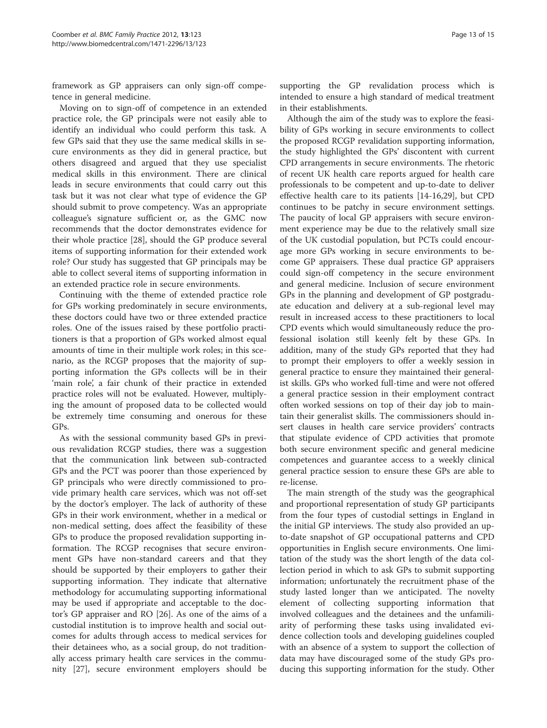framework as GP appraisers can only sign-off competence in general medicine.

Moving on to sign-off of competence in an extended practice role, the GP principals were not easily able to identify an individual who could perform this task. A few GPs said that they use the same medical skills in secure environments as they did in general practice, but others disagreed and argued that they use specialist medical skills in this environment. There are clinical leads in secure environments that could carry out this task but it was not clear what type of evidence the GP should submit to prove competency. Was an appropriate colleague's signature sufficient or, as the GMC now recommends that the doctor demonstrates evidence for their whole practice [\[28\]](#page-14-0), should the GP produce several items of supporting information for their extended work role? Our study has suggested that GP principals may be able to collect several items of supporting information in an extended practice role in secure environments.

Continuing with the theme of extended practice role for GPs working predominately in secure environments, these doctors could have two or three extended practice roles. One of the issues raised by these portfolio practitioners is that a proportion of GPs worked almost equal amounts of time in their multiple work roles; in this scenario, as the RCGP proposes that the majority of supporting information the GPs collects will be in their 'main role', a fair chunk of their practice in extended practice roles will not be evaluated. However, multiplying the amount of proposed data to be collected would be extremely time consuming and onerous for these GPs.

As with the sessional community based GPs in previous revalidation RCGP studies, there was a suggestion that the communication link between sub-contracted GPs and the PCT was poorer than those experienced by GP principals who were directly commissioned to provide primary health care services, which was not off-set by the doctor's employer. The lack of authority of these GPs in their work environment, whether in a medical or non-medical setting, does affect the feasibility of these GPs to produce the proposed revalidation supporting information. The RCGP recognises that secure environment GPs have non-standard careers and that they should be supported by their employers to gather their supporting information. They indicate that alternative methodology for accumulating supporting informational may be used if appropriate and acceptable to the doctor's GP appraiser and RO [\[26](#page-14-0)]. As one of the aims of a custodial institution is to improve health and social outcomes for adults through access to medical services for their detainees who, as a social group, do not traditionally access primary health care services in the community [[27](#page-14-0)], secure environment employers should be

supporting the GP revalidation process which is intended to ensure a high standard of medical treatment in their establishments.

Although the aim of the study was to explore the feasibility of GPs working in secure environments to collect the proposed RCGP revalidation supporting information, the study highlighted the GPs' discontent with current CPD arrangements in secure environments. The rhetoric of recent UK health care reports argued for health care professionals to be competent and up-to-date to deliver effective health care to its patients [\[14](#page-13-0)-[16](#page-14-0),[29](#page-14-0)], but CPD continues to be patchy in secure environment settings. The paucity of local GP appraisers with secure environment experience may be due to the relatively small size of the UK custodial population, but PCTs could encourage more GPs working in secure environments to become GP appraisers. These dual practice GP appraisers could sign-off competency in the secure environment and general medicine. Inclusion of secure environment GPs in the planning and development of GP postgraduate education and delivery at a sub-regional level may result in increased access to these practitioners to local CPD events which would simultaneously reduce the professional isolation still keenly felt by these GPs. In addition, many of the study GPs reported that they had to prompt their employers to offer a weekly session in general practice to ensure they maintained their generalist skills. GPs who worked full-time and were not offered a general practice session in their employment contract often worked sessions on top of their day job to maintain their generalist skills. The commissioners should insert clauses in health care service providers' contracts that stipulate evidence of CPD activities that promote both secure environment specific and general medicine competences and guarantee access to a weekly clinical general practice session to ensure these GPs are able to re-license.

The main strength of the study was the geographical and proportional representation of study GP participants from the four types of custodial settings in England in the initial GP interviews. The study also provided an upto-date snapshot of GP occupational patterns and CPD opportunities in English secure environments. One limitation of the study was the short length of the data collection period in which to ask GPs to submit supporting information; unfortunately the recruitment phase of the study lasted longer than we anticipated. The novelty element of collecting supporting information that involved colleagues and the detainees and the unfamiliarity of performing these tasks using invalidated evidence collection tools and developing guidelines coupled with an absence of a system to support the collection of data may have discouraged some of the study GPs producing this supporting information for the study. Other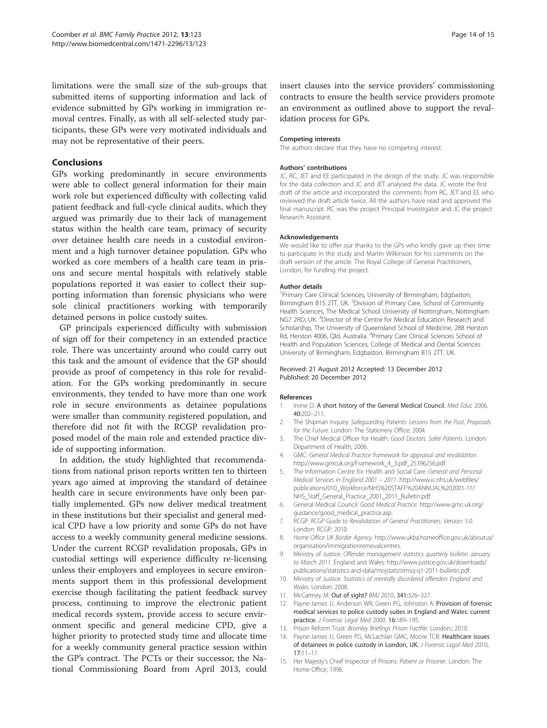<span id="page-13-0"></span>limitations were the small size of the sub-groups that submitted items of supporting information and lack of evidence submitted by GPs working in immigration removal centres. Finally, as with all self-selected study participants, these GPs were very motivated individuals and may not be representative of their peers.

#### Conclusions

GPs working predominantly in secure environments were able to collect general information for their main work role but experienced difficulty with collecting valid patient feedback and full-cycle clinical audits, which they argued was primarily due to their lack of management status within the health care team, primacy of security over detainee health care needs in a custodial environment and a high turnover detainee population. GPs who worked as core members of a health care team in prisons and secure mental hospitals with relatively stable populations reported it was easier to collect their supporting information than forensic physicians who were sole clinical practitioners working with temporarily detained persons in police custody suites.

GP principals experienced difficulty with submission of sign off for their competency in an extended practice role. There was uncertainty around who could carry out this task and the amount of evidence that the GP should provide as proof of competency in this role for revalidation. For the GPs working predominantly in secure environments, they tended to have more than one work role in secure environments as detainee populations were smaller than community registered population, and therefore did not fit with the RCGP revalidation proposed model of the main role and extended practice divide of supporting information.

In addition, the study highlighted that recommendations from national prison reports written ten to thirteen years ago aimed at improving the standard of detainee health care in secure environments have only been partially implemented. GPs now deliver medical treatment in these institutions but their specialist and general medical CPD have a low priority and some GPs do not have access to a weekly community general medicine sessions. Under the current RCGP revalidation proposals, GPs in custodial settings will experience difficulty re-licensing unless their employers and employees in secure environments support them in this professional development exercise though facilitating the patient feedback survey process, continuing to improve the electronic patient medical records system, provide access to secure environment specific and general medicine CPD, give a higher priority to protected study time and allocate time for a weekly community general practice session within the GP's contract. The PCTs or their successor, the National Commissioning Board from April 2013, could

insert clauses into the service providers' commissioning contracts to ensure the health service providers promote an environment as outlined above to support the revalidation process for GPs.

#### Competing interests

The authors declare that they have no competing interest.

#### Authors' contributions

JC, RC, JET and EE participated in the design of the study. JC was responsible for the data collection and JC and JET analysed the data. JC wrote the first draft of the article and incorporated the comments from RC, JET and EE who reviewed the draft article twice. All the authors have read and approved the final manuscript. RC was the project Principal Investigator and JC the project Research Assistant.

#### Acknowledgements

We would like to offer our thanks to the GPs who kindly gave up their time to participate in the study and Martin Wilkinson for his comments on the draft version of the article. The Royal College of General Practitioners, London, for funding the project.

#### Author details

<sup>1</sup> Primary Care Clinical Sciences, University of Birmingham, Edgbaston, Birmingham B15 2TT, UK. <sup>2</sup> Division of Primary Care, School of Community Health Sciences, The Medical School University of Nottingham, Nottingham NG7 2RD, UK. <sup>3</sup>Director of the Centre for Medical Education Research and Scholarship, The University of Queensland School of Medicine, 288 Herston Rd, Herston 4006, Qld, Australia. <sup>4</sup>Primary Care Clinical Sciences School of Health and Population Sciences, College of Medical and Dental Sciences University of Birmingham, Edgbaston, Birmingham B15 2TT, UK.

#### Received: 21 August 2012 Accepted: 13 December 2012 Published: 20 December 2012

#### References

- 1. Irvine D: A short history of the General Medical Council. Med Educ 2006, 40:202–211.
- 2. The Shipman Inquiry: Safeguarding Patients: Lessons from the Past, Proposals for the Future. London: The Stationery Office: 2004.
- 3. The Chief Medical Officer for Health: Good Doctors, Safer Patients. London: Department of Health; 2006.
- 4. GMC: General Medical Practice framework for appraisal and revalidation. [http://www.gmcuk.org/Framework\\_4\\_3.pdf\\_25396256.pdf](http://www.gmcuk.org/Framework_4_3.pdf_25396256.pdf).
- 5. The Information Centre for Health and Social Care: General and Personal Medical Services in England 2001 – 2011. [http://www.ic.nhs.uk/webfiles/](http://www.ic.nhs.uk/webfiles/publications/010_Workforce/NHS%20STAFF%20ANNUAL%202001-11/NHS_Staff_General_Practice_2001_2011_Bulletin.pdf) [publications/010\\_Workforce/NHS%20STAFF%20ANNUAL%202001-11/](http://www.ic.nhs.uk/webfiles/publications/010_Workforce/NHS%20STAFF%20ANNUAL%202001-11/NHS_Staff_General_Practice_2001_2011_Bulletin.pdf) [NHS\\_Staff\\_General\\_Practice\\_2001\\_2011\\_Bulletin.pdf.](http://www.ic.nhs.uk/webfiles/publications/010_Workforce/NHS%20STAFF%20ANNUAL%202001-11/NHS_Staff_General_Practice_2001_2011_Bulletin.pdf)
- 6. General Medical Council: Good Medical Practice. [http://www.gmc-uk.org/](http://www.gmc-uk.org/guidance/good_medical_practice.asp) [guidance/good\\_medical\\_practice.asp.](http://www.gmc-uk.org/guidance/good_medical_practice.asp)
- 7. RCGP: RCGP Guide to Revalidation of General Practitioners. Version: 5.0. London: RCGP; 2010.
- 8. Home Office UK Border Agency. [http://www.ukba.homeoffice.gov.uk/aboutus/](http://www.ukba.homeoffice.gov.uk/aboutus/organisation/immigrationremovalcentres) [organisation/immigrationremovalcentres.](http://www.ukba.homeoffice.gov.uk/aboutus/organisation/immigrationremovalcentres)
- 9. Ministry of Justice: Offender management statistics quarterly bulletin January to March 2011. England and Wales: [http://www.justice.gov.uk/downloads/](http://www.justice.gov.uk/downloads/publications/statistics-and-data/mojstats/omsq-q1-2011-bulletin.pdf) [publications/statistics-and-data/mojstats/omsq-q1-2011-bulletin.pdf](http://www.justice.gov.uk/downloads/publications/statistics-and-data/mojstats/omsq-q1-2011-bulletin.pdf).
- 10. Ministry of Justice: Statistics of mentally disordered offenders England and Wales. London: 2008.
- 11. McCartney M: Out of sight? BMJ 2010, 341:326–327.
- 12. Payne-James JJ, Anderson WR, Green PG, Johnston A: Provision of forensic medical services to police custody suites in England and Wales: current practice. J Forensic Legal Med 2009, 16:189–195.
- 13. Prison Reform Trust: Bromley Briefings Prison Factfile. London:; 2010.
- 14. Payne-James JJ, Green PG, McLachlan GMC, Moore TCB: Healthcare issues of detainees in police custody in London, UK. J Forensic Legal Med 2010, 17:11–17.
- 15. Her Majesty's Chief Inspector of Prisons: Patient or Prisoner. London: The Home Office; 1996.